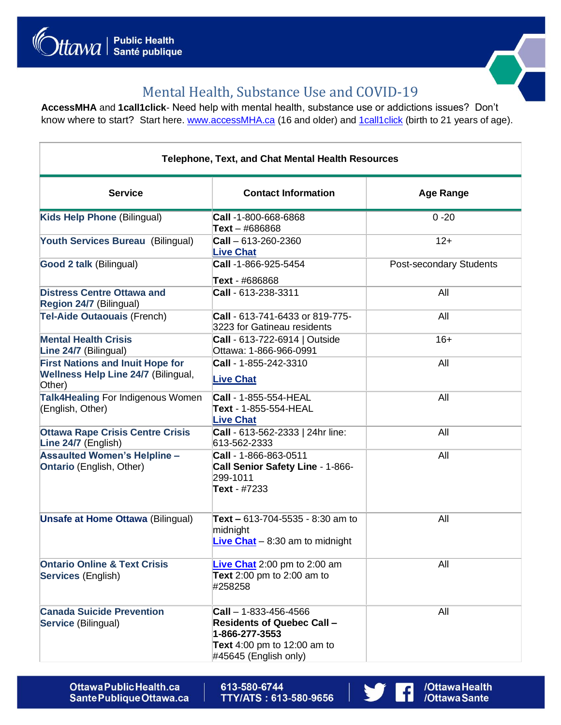



/Ottawa Health<br>/Ottawa Sante

 $\vert f \vert$ 

## Mental Health, Substance Use and COVID-19

**AccessMHA** and **1call1click**- Need help with mental health, substance use or addictions issues? Don't know where to start? Start here. [www.accessMHA.ca](http://www.accessmha.ca/) (16 and older) and [1call1click](https://1call1click.ca/en/index.aspx) (birth to 21 years of age).

| <b>Telephone, Text, and Chat Mental Health Resources</b>                                        |                                                                                                                                                     |                         |  |
|-------------------------------------------------------------------------------------------------|-----------------------------------------------------------------------------------------------------------------------------------------------------|-------------------------|--|
| <b>Service</b>                                                                                  | <b>Contact Information</b>                                                                                                                          | <b>Age Range</b>        |  |
| Kids Help Phone (Bilingual)                                                                     | Call -1-800-668-6868<br>$Text - #686868$                                                                                                            | $0 - 20$                |  |
| Youth Services Bureau (Bilingual)                                                               | $\text{Call} - 613 - 260 - 2360$<br><b>Live Chat</b>                                                                                                | $12+$                   |  |
| Good 2 talk (Bilingual)                                                                         | Call -1-866-925-5454<br>Text - #686868                                                                                                              | Post-secondary Students |  |
| <b>Distress Centre Ottawa and</b><br>Region 24/7 (Bilingual)                                    | Call - 613-238-3311                                                                                                                                 | All                     |  |
| <b>Tel-Aide Outaouais (French)</b>                                                              | Call - 613-741-6433 or 819-775-<br>3223 for Gatineau residents                                                                                      | All                     |  |
| <b>Mental Health Crisis</b><br>Line 24/7 (Bilingual)                                            | <b>Call - 613-722-6914   Outside</b><br>Ottawa: 1-866-966-0991                                                                                      | $16+$                   |  |
| <b>First Nations and Inuit Hope for</b><br><b>Wellness Help Line 24/7 (Bilingual,</b><br>Other) | Call - 1-855-242-3310<br><b>Live Chat</b>                                                                                                           | All                     |  |
| Talk4Healing For Indigenous Women<br>(English, Other)                                           | Call - 1-855-554-HEAL<br>Text - 1-855-554-HEAL<br><b>Live Chat</b>                                                                                  | All                     |  |
| <b>Ottawa Rape Crisis Centre Crisis</b><br>Line 24/7 (English)                                  | Call - 613-562-2333   24hr line:<br>613-562-2333                                                                                                    | All                     |  |
| <b>Assaulted Women's Helpline -</b><br><b>Ontario</b> (English, Other)                          | Call - 1-866-863-0511<br>Call Senior Safety Line - 1-866-<br>299-1011<br>Text - #7233                                                               | All                     |  |
| <b>Unsafe at Home Ottawa (Bilingual)</b>                                                        | Text - 613-704-5535 - 8:30 am to<br>midnight<br><b>Live Chat</b> $- 8:30$ am to midnight                                                            | All                     |  |
| <b>Ontario Online &amp; Text Crisis</b><br>Services (English)                                   | Live Chat 2:00 pm to 2:00 am<br>Text 2:00 pm to 2:00 am to<br>#258258                                                                               | All                     |  |
| <b>Canada Suicide Prevention</b><br>Service (Bilingual)                                         | $\text{Call} - 1 - 833 - 456 - 4566$<br><b>Residents of Quebec Call -</b><br>1-866-277-3553<br>Text 4:00 pm to 12:00 am to<br>#45645 (English only) | All                     |  |

Ottawa Public Health.ca Sante Publique Ottawa.ca 613-580-6744 TTY/ATS: 613-580-9656